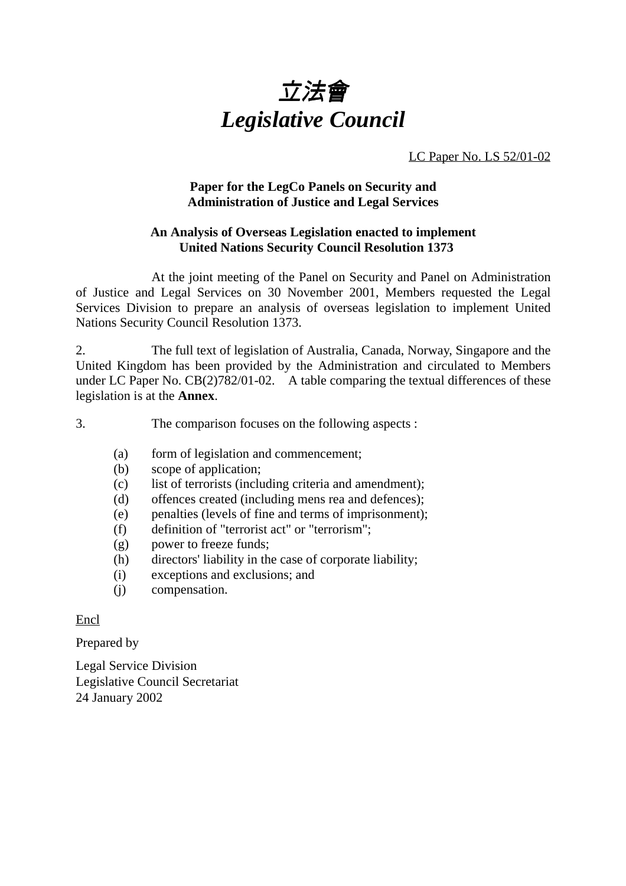

LC Paper No. LS 52/01-02

## **Paper for the LegCo Panels on Security and Administration of Justice and Legal Services**

## **An Analysis of Overseas Legislation enacted to implement United Nations Security Council Resolution 1373**

At the joint meeting of the Panel on Security and Panel on Administration of Justice and Legal Services on 30 November 2001, Members requested the Legal Services Division to prepare an analysis of overseas legislation to implement United Nations Security Council Resolution 1373.

2. The full text of legislation of Australia, Canada, Norway, Singapore and the United Kingdom has been provided by the Administration and circulated to Members under LC Paper No. CB(2)782/01-02. A table comparing the textual differences of these legislation is at the **Annex**.

3. The comparison focuses on the following aspects :

- (a) form of legislation and commencement;
- (b) scope of application;
- (c) list of terrorists (including criteria and amendment);
- (d) offences created (including mens rea and defences);
- (e) penalties (levels of fine and terms of imprisonment);
- (f) definition of "terrorist act" or "terrorism";
- (g) power to freeze funds;
- (h) directors' liability in the case of corporate liability;
- (i) exceptions and exclusions; and
- (j) compensation.

Encl

Prepared by

Legal Service Division Legislative Council Secretariat 24 January 2002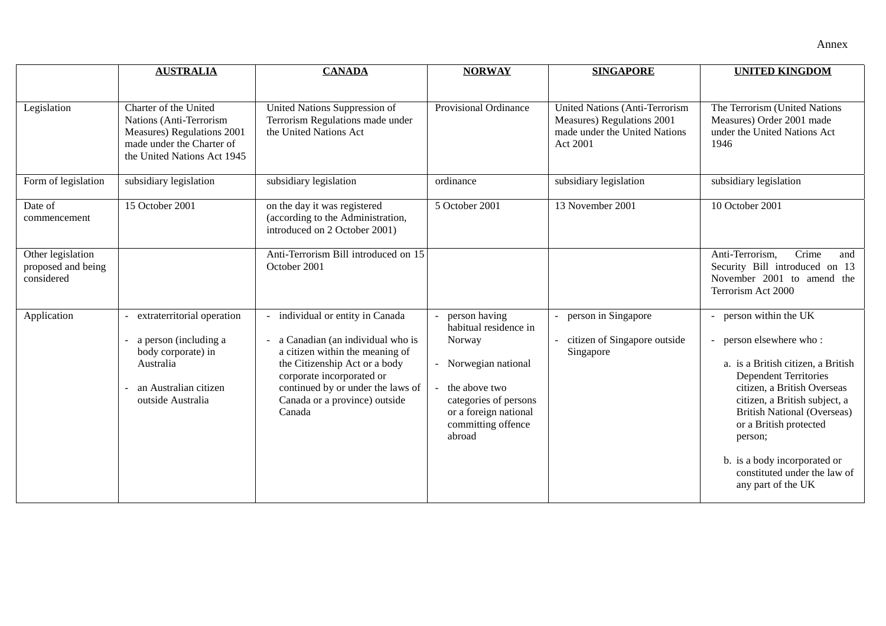|                                                       | <b>AUSTRALIA</b>                                                                                                                           | <b>CANADA</b>                                                                                                                                                                                                                                       | <b>NORWAY</b>                                                                                                                                                               | <b>SINGAPORE</b>                                                                                                  | <b>UNITED KINGDOM</b>                                                                                                                                                                                                                                                                                                                                  |
|-------------------------------------------------------|--------------------------------------------------------------------------------------------------------------------------------------------|-----------------------------------------------------------------------------------------------------------------------------------------------------------------------------------------------------------------------------------------------------|-----------------------------------------------------------------------------------------------------------------------------------------------------------------------------|-------------------------------------------------------------------------------------------------------------------|--------------------------------------------------------------------------------------------------------------------------------------------------------------------------------------------------------------------------------------------------------------------------------------------------------------------------------------------------------|
|                                                       |                                                                                                                                            |                                                                                                                                                                                                                                                     |                                                                                                                                                                             |                                                                                                                   |                                                                                                                                                                                                                                                                                                                                                        |
| Legislation                                           | Charter of the United<br>Nations (Anti-Terrorism<br>Measures) Regulations 2001<br>made under the Charter of<br>the United Nations Act 1945 | United Nations Suppression of<br>Terrorism Regulations made under<br>the United Nations Act                                                                                                                                                         | Provisional Ordinance                                                                                                                                                       | <b>United Nations (Anti-Terrorism)</b><br>Measures) Regulations 2001<br>made under the United Nations<br>Act 2001 | The Terrorism (United Nations<br>Measures) Order 2001 made<br>under the United Nations Act<br>1946                                                                                                                                                                                                                                                     |
| Form of legislation                                   | subsidiary legislation                                                                                                                     | subsidiary legislation                                                                                                                                                                                                                              | ordinance                                                                                                                                                                   | subsidiary legislation                                                                                            | subsidiary legislation                                                                                                                                                                                                                                                                                                                                 |
| Date of<br>commencement                               | 15 October 2001                                                                                                                            | on the day it was registered<br>(according to the Administration,<br>introduced on 2 October 2001)                                                                                                                                                  | 5 October 2001                                                                                                                                                              | 13 November 2001                                                                                                  | 10 October 2001                                                                                                                                                                                                                                                                                                                                        |
| Other legislation<br>proposed and being<br>considered |                                                                                                                                            | Anti-Terrorism Bill introduced on 15<br>October 2001                                                                                                                                                                                                |                                                                                                                                                                             |                                                                                                                   | Crime<br>Anti-Terrorism,<br>and<br>Security Bill introduced on 13<br>November 2001 to amend the<br>Terrorism Act 2000                                                                                                                                                                                                                                  |
| Application                                           | extraterritorial operation<br>a person (including a<br>body corporate) in<br>Australia<br>an Australian citizen<br>outside Australia       | individual or entity in Canada<br>a Canadian (an individual who is<br>a citizen within the meaning of<br>the Citizenship Act or a body<br>corporate incorporated or<br>continued by or under the laws of<br>Canada or a province) outside<br>Canada | person having<br>habitual residence in<br>Norway<br>- Norwegian national<br>the above two<br>categories of persons<br>or a foreign national<br>committing offence<br>abroad | person in Singapore<br>citizen of Singapore outside<br>Singapore                                                  | - person within the UK<br>person elsewhere who:<br>a. is a British citizen, a British<br><b>Dependent Territories</b><br>citizen, a British Overseas<br>citizen, a British subject, a<br><b>British National (Overseas)</b><br>or a British protected<br>person;<br>b. is a body incorporated or<br>constituted under the law of<br>any part of the UK |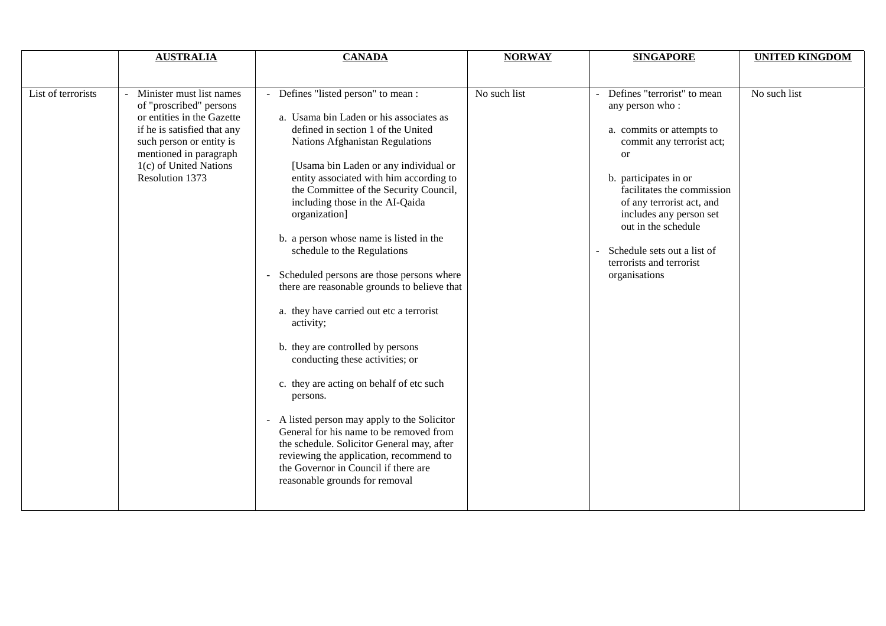|                    | <b>AUSTRALIA</b>                                                                                                                                                                                                    | <b>CANADA</b>                                                                                                                                                                                                                                                                                                                                                                                                                                                                                                                                                                                                                                                                                                                                                                                                                                                                                                                                                           | <b>NORWAY</b> | <b>SINGAPORE</b>                                                                                                                                                                                                                                                                                                                 | <b>UNITED KINGDOM</b> |
|--------------------|---------------------------------------------------------------------------------------------------------------------------------------------------------------------------------------------------------------------|-------------------------------------------------------------------------------------------------------------------------------------------------------------------------------------------------------------------------------------------------------------------------------------------------------------------------------------------------------------------------------------------------------------------------------------------------------------------------------------------------------------------------------------------------------------------------------------------------------------------------------------------------------------------------------------------------------------------------------------------------------------------------------------------------------------------------------------------------------------------------------------------------------------------------------------------------------------------------|---------------|----------------------------------------------------------------------------------------------------------------------------------------------------------------------------------------------------------------------------------------------------------------------------------------------------------------------------------|-----------------------|
|                    |                                                                                                                                                                                                                     |                                                                                                                                                                                                                                                                                                                                                                                                                                                                                                                                                                                                                                                                                                                                                                                                                                                                                                                                                                         |               |                                                                                                                                                                                                                                                                                                                                  |                       |
| List of terrorists | Minister must list names<br>of "proscribed" persons<br>or entities in the Gazette<br>if he is satisfied that any<br>such person or entity is<br>mentioned in paragraph<br>1(c) of United Nations<br>Resolution 1373 | - Defines "listed person" to mean :<br>a. Usama bin Laden or his associates as<br>defined in section 1 of the United<br>Nations Afghanistan Regulations<br>[Usama bin Laden or any individual or<br>entity associated with him according to<br>the Committee of the Security Council,<br>including those in the AI-Qaida<br>organization]<br>b. a person whose name is listed in the<br>schedule to the Regulations<br>Scheduled persons are those persons where<br>there are reasonable grounds to believe that<br>a. they have carried out etc a terrorist<br>activity;<br>b. they are controlled by persons<br>conducting these activities; or<br>c. they are acting on behalf of etc such<br>persons.<br>- A listed person may apply to the Solicitor<br>General for his name to be removed from<br>the schedule. Solicitor General may, after<br>reviewing the application, recommend to<br>the Governor in Council if there are<br>reasonable grounds for removal | No such list  | Defines "terrorist" to mean<br>any person who:<br>a. commits or attempts to<br>commit any terrorist act;<br>or<br>b. participates in or<br>facilitates the commission<br>of any terrorist act, and<br>includes any person set<br>out in the schedule<br>Schedule sets out a list of<br>terrorists and terrorist<br>organisations | No such list          |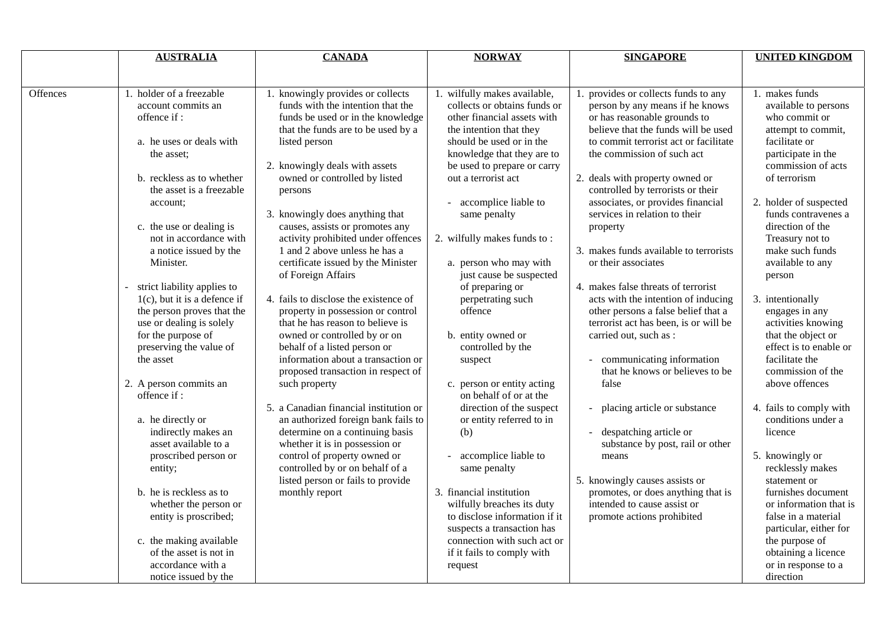|          | <b>AUSTRALIA</b>                                                                                                                                                                                                                                                                                                                                                                                                                                                                                                                                                                                                                                                                                                                                                                                   | <b>CANADA</b>                                                                                                                                                                                                                                                                                                                                                                                                                                                                                                                                                                                                                                                                                                                                                                                                                                                                                                                                                                                                            | <b>NORWAY</b>                                                                                                                                                                                                                                                                                                                                                                                                                                                                                                                                                                                                                                                                                                                                                                                                                               | <b>SINGAPORE</b>                                                                                                                                                                                                                                                                                                                                                                                                                                                                                                                                                                                                                                                                                                                                                                                                                                                                                                                                              | <b>UNITED KINGDOM</b>                                                                                                                                                                                                                                                                                                                                                                                                                                                                                                                                                                                                                                                                                                                                                     |
|----------|----------------------------------------------------------------------------------------------------------------------------------------------------------------------------------------------------------------------------------------------------------------------------------------------------------------------------------------------------------------------------------------------------------------------------------------------------------------------------------------------------------------------------------------------------------------------------------------------------------------------------------------------------------------------------------------------------------------------------------------------------------------------------------------------------|--------------------------------------------------------------------------------------------------------------------------------------------------------------------------------------------------------------------------------------------------------------------------------------------------------------------------------------------------------------------------------------------------------------------------------------------------------------------------------------------------------------------------------------------------------------------------------------------------------------------------------------------------------------------------------------------------------------------------------------------------------------------------------------------------------------------------------------------------------------------------------------------------------------------------------------------------------------------------------------------------------------------------|---------------------------------------------------------------------------------------------------------------------------------------------------------------------------------------------------------------------------------------------------------------------------------------------------------------------------------------------------------------------------------------------------------------------------------------------------------------------------------------------------------------------------------------------------------------------------------------------------------------------------------------------------------------------------------------------------------------------------------------------------------------------------------------------------------------------------------------------|---------------------------------------------------------------------------------------------------------------------------------------------------------------------------------------------------------------------------------------------------------------------------------------------------------------------------------------------------------------------------------------------------------------------------------------------------------------------------------------------------------------------------------------------------------------------------------------------------------------------------------------------------------------------------------------------------------------------------------------------------------------------------------------------------------------------------------------------------------------------------------------------------------------------------------------------------------------|---------------------------------------------------------------------------------------------------------------------------------------------------------------------------------------------------------------------------------------------------------------------------------------------------------------------------------------------------------------------------------------------------------------------------------------------------------------------------------------------------------------------------------------------------------------------------------------------------------------------------------------------------------------------------------------------------------------------------------------------------------------------------|
|          |                                                                                                                                                                                                                                                                                                                                                                                                                                                                                                                                                                                                                                                                                                                                                                                                    |                                                                                                                                                                                                                                                                                                                                                                                                                                                                                                                                                                                                                                                                                                                                                                                                                                                                                                                                                                                                                          |                                                                                                                                                                                                                                                                                                                                                                                                                                                                                                                                                                                                                                                                                                                                                                                                                                             |                                                                                                                                                                                                                                                                                                                                                                                                                                                                                                                                                                                                                                                                                                                                                                                                                                                                                                                                                               |                                                                                                                                                                                                                                                                                                                                                                                                                                                                                                                                                                                                                                                                                                                                                                           |
| Offences | 1. holder of a freezable<br>account commits an<br>offence if:<br>a. he uses or deals with<br>the asset:<br>b. reckless as to whether<br>the asset is a freezable<br>account:<br>c. the use or dealing is<br>not in accordance with<br>a notice issued by the<br>Minister.<br>strict liability applies to<br>$1(c)$ , but it is a defence if<br>the person proves that the<br>use or dealing is solely<br>for the purpose of<br>preserving the value of<br>the asset<br>2. A person commits an<br>offence if:<br>a. he directly or<br>indirectly makes an<br>asset available to a<br>proscribed person or<br>entity;<br>b. he is reckless as to<br>whether the person or<br>entity is proscribed;<br>c. the making available<br>of the asset is not in<br>accordance with a<br>notice issued by the | 1. knowingly provides or collects<br>funds with the intention that the<br>funds be used or in the knowledge<br>that the funds are to be used by a<br>listed person<br>2. knowingly deals with assets<br>owned or controlled by listed<br>persons<br>3. knowingly does anything that<br>causes, assists or promotes any<br>activity prohibited under offences<br>1 and 2 above unless he has a<br>certificate issued by the Minister<br>of Foreign Affairs<br>4. fails to disclose the existence of<br>property in possession or control<br>that he has reason to believe is<br>owned or controlled by or on<br>behalf of a listed person or<br>information about a transaction or<br>proposed transaction in respect of<br>such property<br>5. a Canadian financial institution or<br>an authorized foreign bank fails to<br>determine on a continuing basis<br>whether it is in possession or<br>control of property owned or<br>controlled by or on behalf of a<br>listed person or fails to provide<br>monthly report | 1. wilfully makes available,<br>collects or obtains funds or<br>other financial assets with<br>the intention that they<br>should be used or in the<br>knowledge that they are to<br>be used to prepare or carry<br>out a terrorist act<br>accomplice liable to<br>same penalty<br>2. wilfully makes funds to:<br>a. person who may with<br>just cause be suspected<br>of preparing or<br>perpetrating such<br>offence<br>b. entity owned or<br>controlled by the<br>suspect<br>c. person or entity acting<br>on behalf of or at the<br>direction of the suspect<br>or entity referred to in<br>(b)<br>accomplice liable to<br>same penalty<br>3. financial institution<br>wilfully breaches its duty<br>to disclose information if it<br>suspects a transaction has<br>connection with such act or<br>if it fails to comply with<br>request | 1. provides or collects funds to any<br>person by any means if he knows<br>or has reasonable grounds to<br>believe that the funds will be used<br>to commit terrorist act or facilitate<br>the commission of such act<br>2. deals with property owned or<br>controlled by terrorists or their<br>associates, or provides financial<br>services in relation to their<br>property<br>3. makes funds available to terrorists<br>or their associates<br>4. makes false threats of terrorist<br>acts with the intention of inducing<br>other persons a false belief that a<br>terrorist act has been, is or will be<br>carried out, such as :<br>communicating information<br>that he knows or believes to be<br>false<br>placing article or substance<br>despatching article or<br>substance by post, rail or other<br>means<br>5. knowingly causes assists or<br>promotes, or does anything that is<br>intended to cause assist or<br>promote actions prohibited | 1. makes funds<br>available to persons<br>who commit or<br>attempt to commit,<br>facilitate or<br>participate in the<br>commission of acts<br>of terrorism<br>2. holder of suspected<br>funds contravenes a<br>direction of the<br>Treasury not to<br>make such funds<br>available to any<br>person<br>3. intentionally<br>engages in any<br>activities knowing<br>that the object or<br>effect is to enable or<br>facilitate the<br>commission of the<br>above offences<br>4. fails to comply with<br>conditions under a<br>licence<br>5. knowingly or<br>recklessly makes<br>statement or<br>furnishes document<br>or information that is<br>false in a material<br>particular, either for<br>the purpose of<br>obtaining a licence<br>or in response to a<br>direction |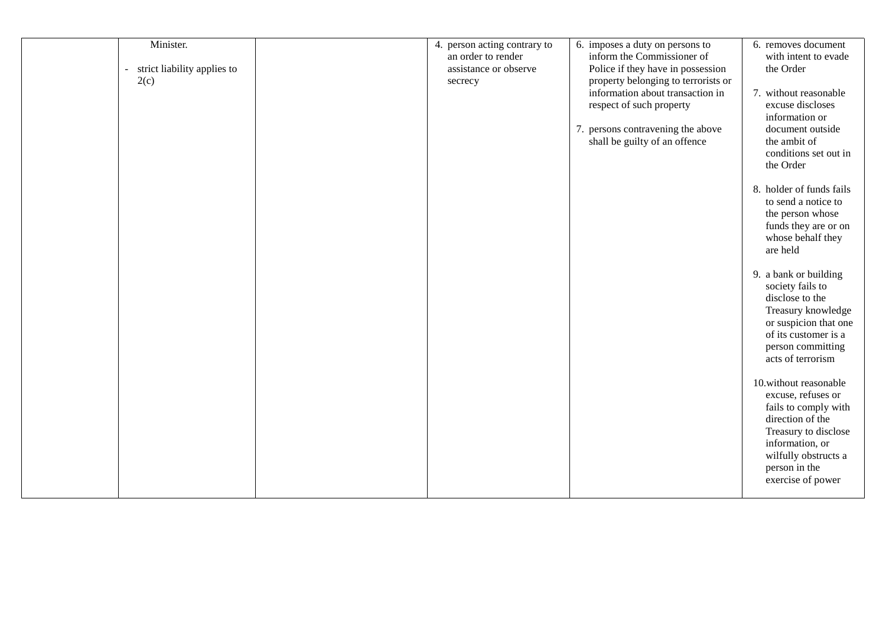| Minister.<br>strict liability applies to<br>$\sim$<br>2(c) | 4. person acting contrary to<br>an order to render<br>assistance or observe<br>secrecy | 6. imposes a duty on persons to<br>inform the Commissioner of<br>Police if they have in possession<br>property belonging to terrorists or<br>information about transaction in<br>respect of such property<br>7. persons contravening the above<br>shall be guilty of an offence | 6. removes document<br>with intent to evade<br>the Order<br>7. without reasonable<br>excuse discloses<br>information or<br>document outside<br>the ambit of<br>conditions set out in<br>the Order |
|------------------------------------------------------------|----------------------------------------------------------------------------------------|---------------------------------------------------------------------------------------------------------------------------------------------------------------------------------------------------------------------------------------------------------------------------------|---------------------------------------------------------------------------------------------------------------------------------------------------------------------------------------------------|
|                                                            |                                                                                        |                                                                                                                                                                                                                                                                                 | 8. holder of funds fails<br>to send a notice to<br>the person whose<br>funds they are or on<br>whose behalf they<br>are held                                                                      |
|                                                            |                                                                                        |                                                                                                                                                                                                                                                                                 | 9. a bank or building<br>society fails to<br>disclose to the<br>Treasury knowledge<br>or suspicion that one<br>of its customer is a<br>person committing<br>acts of terrorism                     |
|                                                            |                                                                                        |                                                                                                                                                                                                                                                                                 | 10.without reasonable<br>excuse, refuses or<br>fails to comply with<br>direction of the<br>Treasury to disclose<br>information, or<br>wilfully obstructs a<br>person in the<br>exercise of power  |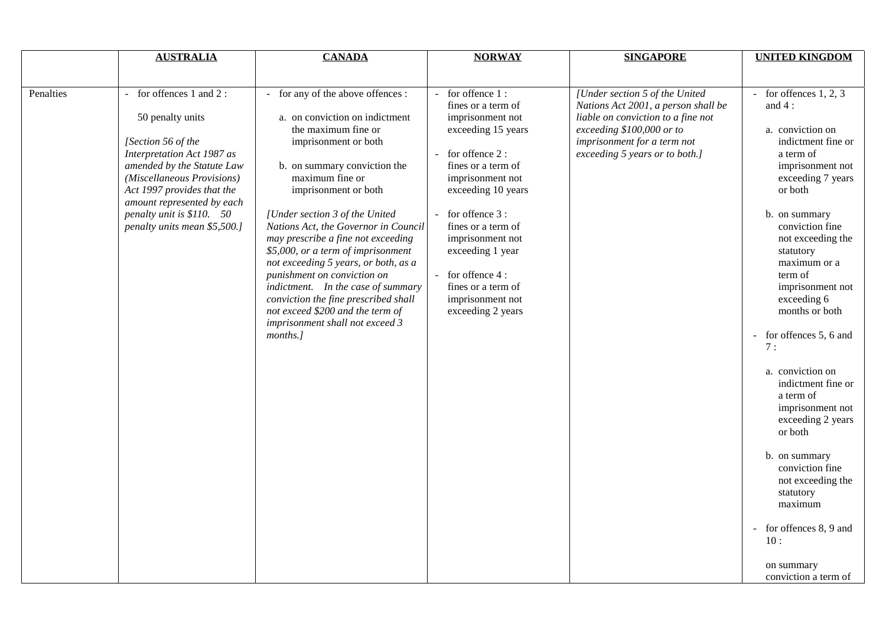|           | <b>AUSTRALIA</b>                                                                                                                                                                                                                                                                                     | <b>CANADA</b>                                                                                                                                                                                                                                                                                                                                                                                                                                                                                                                                                                               | <b>NORWAY</b>                                                                                                                                                                                                                                                                                                                         | <b>SINGAPORE</b>                                                                                                                                                                                          | <b>UNITED KINGDOM</b>                                                                                                                                                                                                                                                                                                                                                                                                                                                                                                                                                                                |
|-----------|------------------------------------------------------------------------------------------------------------------------------------------------------------------------------------------------------------------------------------------------------------------------------------------------------|---------------------------------------------------------------------------------------------------------------------------------------------------------------------------------------------------------------------------------------------------------------------------------------------------------------------------------------------------------------------------------------------------------------------------------------------------------------------------------------------------------------------------------------------------------------------------------------------|---------------------------------------------------------------------------------------------------------------------------------------------------------------------------------------------------------------------------------------------------------------------------------------------------------------------------------------|-----------------------------------------------------------------------------------------------------------------------------------------------------------------------------------------------------------|------------------------------------------------------------------------------------------------------------------------------------------------------------------------------------------------------------------------------------------------------------------------------------------------------------------------------------------------------------------------------------------------------------------------------------------------------------------------------------------------------------------------------------------------------------------------------------------------------|
|           |                                                                                                                                                                                                                                                                                                      |                                                                                                                                                                                                                                                                                                                                                                                                                                                                                                                                                                                             |                                                                                                                                                                                                                                                                                                                                       |                                                                                                                                                                                                           |                                                                                                                                                                                                                                                                                                                                                                                                                                                                                                                                                                                                      |
| Penalties | for offences 1 and 2:<br>$\blacksquare$<br>50 penalty units<br>[Section 56 of the<br>Interpretation Act 1987 as<br>amended by the Statute Law<br>(Miscellaneous Provisions)<br>Act 1997 provides that the<br>amount represented by each<br>penalty unit is \$110. 50<br>penalty units mean \$5,500.] | - for any of the above offences :<br>a. on conviction on indictment<br>the maximum fine or<br>imprisonment or both<br>b. on summary conviction the<br>maximum fine or<br>imprisonment or both<br>[Under section 3 of the United<br>Nations Act, the Governor in Council<br>may prescribe a fine not exceeding<br>\$5,000, or a term of imprisonment<br>not exceeding 5 years, or both, as a<br>punishment on conviction on<br>indictment. In the case of summary<br>conviction the fine prescribed shall<br>not exceed \$200 and the term of<br>imprisonment shall not exceed 3<br>months.] | for offence 1:<br>fines or a term of<br>imprisonment not<br>exceeding 15 years<br>for offence 2:<br>fines or a term of<br>imprisonment not<br>exceeding 10 years<br>for offence 3 :<br>fines or a term of<br>imprisonment not<br>exceeding 1 year<br>- for offence 4 :<br>fines or a term of<br>imprisonment not<br>exceeding 2 years | [Under section 5 of the United<br>Nations Act 2001, a person shall be<br>liable on conviction to a fine not<br>exceeding \$100,000 or to<br>imprisonment for a term not<br>exceeding 5 years or to both.] | for offences $1, 2, 3$<br>and $4:$<br>a. conviction on<br>indictment fine or<br>a term of<br>imprisonment not<br>exceeding 7 years<br>or both<br>b. on summary<br>conviction fine<br>not exceeding the<br>statutory<br>maximum or a<br>term of<br>imprisonment not<br>exceeding 6<br>months or both<br>for offences 5, 6 and<br>7:<br>a. conviction on<br>indictment fine or<br>a term of<br>imprisonment not<br>exceeding 2 years<br>or both<br>b. on summary<br>conviction fine<br>not exceeding the<br>statutory<br>maximum<br>for offences 8, 9 and<br>10:<br>on summary<br>conviction a term of |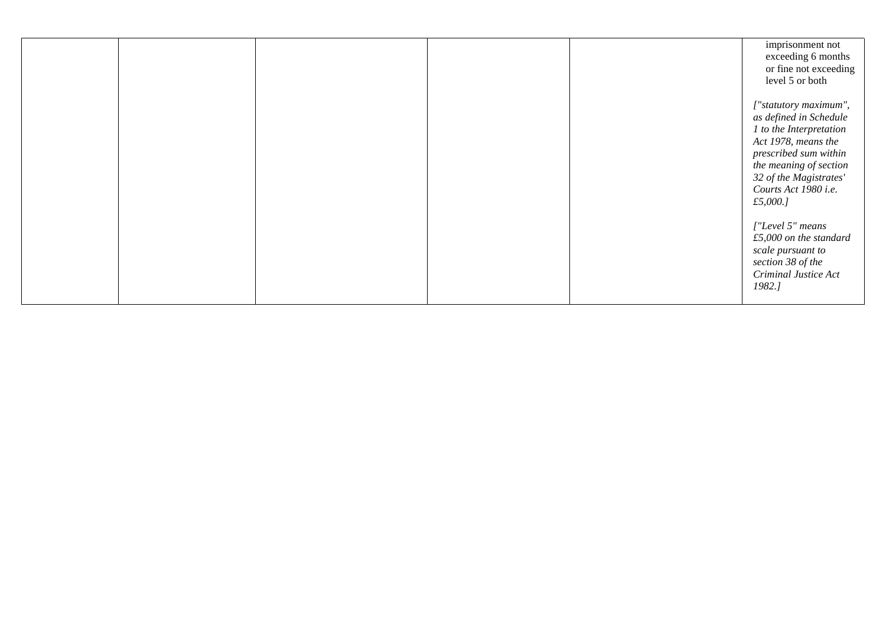|  |  | imprisonment not<br>exceeding 6 months<br>or fine not exceeding<br>level 5 or both                                                                                                                                 |
|--|--|--------------------------------------------------------------------------------------------------------------------------------------------------------------------------------------------------------------------|
|  |  | ["statutory maximum",<br>as defined in Schedule<br>1 to the Interpretation<br>Act 1978, means the<br>prescribed sum within<br>the meaning of section<br>32 of the Magistrates'<br>Courts Act 1980 i.e.<br>£5,000.J |
|  |  | ["Level 5" means<br>$£5,000$ on the standard<br>scale pursuant to<br>section 38 of the<br><b>Criminal Justice Act</b><br>1982.]                                                                                    |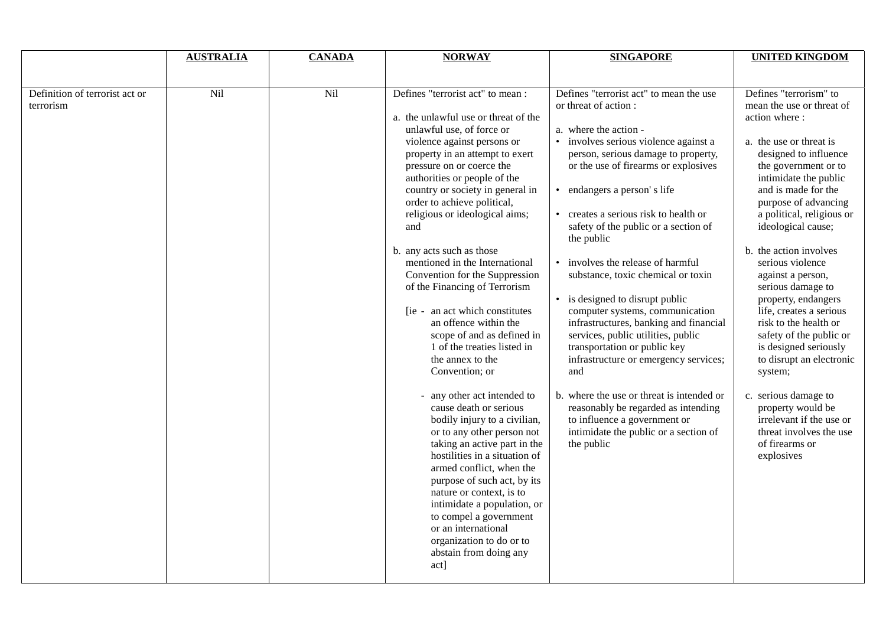|                                             | <b>AUSTRALIA</b> | <b>CANADA</b> | <b>NORWAY</b>                                                                                                                                                                                                                                                                                                                                                                                                                                                                                                                                                                                                                                                                                                                                                                                                                                                                                                                                                                                                                                                                 | <b>SINGAPORE</b>                                                                                                                                                                                                                                                                                                                                                                                                                                                                                                                                                                                                                                                                                                                                                                                                                                           | <b>UNITED KINGDOM</b>                                                                                                                                                                                                                                                                                                                                                                                                                                                                                                                                                                                                                                                         |
|---------------------------------------------|------------------|---------------|-------------------------------------------------------------------------------------------------------------------------------------------------------------------------------------------------------------------------------------------------------------------------------------------------------------------------------------------------------------------------------------------------------------------------------------------------------------------------------------------------------------------------------------------------------------------------------------------------------------------------------------------------------------------------------------------------------------------------------------------------------------------------------------------------------------------------------------------------------------------------------------------------------------------------------------------------------------------------------------------------------------------------------------------------------------------------------|------------------------------------------------------------------------------------------------------------------------------------------------------------------------------------------------------------------------------------------------------------------------------------------------------------------------------------------------------------------------------------------------------------------------------------------------------------------------------------------------------------------------------------------------------------------------------------------------------------------------------------------------------------------------------------------------------------------------------------------------------------------------------------------------------------------------------------------------------------|-------------------------------------------------------------------------------------------------------------------------------------------------------------------------------------------------------------------------------------------------------------------------------------------------------------------------------------------------------------------------------------------------------------------------------------------------------------------------------------------------------------------------------------------------------------------------------------------------------------------------------------------------------------------------------|
|                                             |                  |               |                                                                                                                                                                                                                                                                                                                                                                                                                                                                                                                                                                                                                                                                                                                                                                                                                                                                                                                                                                                                                                                                               |                                                                                                                                                                                                                                                                                                                                                                                                                                                                                                                                                                                                                                                                                                                                                                                                                                                            |                                                                                                                                                                                                                                                                                                                                                                                                                                                                                                                                                                                                                                                                               |
| Definition of terrorist act or<br>terrorism | Nil              | Nil           | Defines "terrorist act" to mean :<br>a. the unlawful use or threat of the<br>unlawful use, of force or<br>violence against persons or<br>property in an attempt to exert<br>pressure on or coerce the<br>authorities or people of the<br>country or society in general in<br>order to achieve political,<br>religious or ideological aims;<br>and<br>b. any acts such as those<br>mentioned in the International<br>Convention for the Suppression<br>of the Financing of Terrorism<br>[ie - an act which constitutes]<br>an offence within the<br>scope of and as defined in<br>1 of the treaties listed in<br>the annex to the<br>Convention; or<br>any other act intended to<br>cause death or serious<br>bodily injury to a civilian,<br>or to any other person not<br>taking an active part in the<br>hostilities in a situation of<br>armed conflict, when the<br>purpose of such act, by its<br>nature or context, is to<br>intimidate a population, or<br>to compel a government<br>or an international<br>organization to do or to<br>abstain from doing any<br>act] | Defines "terrorist act" to mean the use<br>or threat of action:<br>a. where the action -<br>involves serious violence against a<br>person, serious damage to property,<br>or the use of firearms or explosives<br>endangers a person's life<br>$\bullet$<br>creates a serious risk to health or<br>safety of the public or a section of<br>the public<br>involves the release of harmful<br>substance, toxic chemical or toxin<br>is designed to disrupt public<br>$\bullet$<br>computer systems, communication<br>infrastructures, banking and financial<br>services, public utilities, public<br>transportation or public key<br>infrastructure or emergency services;<br>and<br>b. where the use or threat is intended or<br>reasonably be regarded as intending<br>to influence a government or<br>intimidate the public or a section of<br>the public | Defines "terrorism" to<br>mean the use or threat of<br>action where:<br>a. the use or threat is<br>designed to influence<br>the government or to<br>intimidate the public<br>and is made for the<br>purpose of advancing<br>a political, religious or<br>ideological cause;<br>b. the action involves<br>serious violence<br>against a person,<br>serious damage to<br>property, endangers<br>life, creates a serious<br>risk to the health or<br>safety of the public or<br>is designed seriously<br>to disrupt an electronic<br>system;<br>c. serious damage to<br>property would be<br>irrelevant if the use or<br>threat involves the use<br>of firearms or<br>explosives |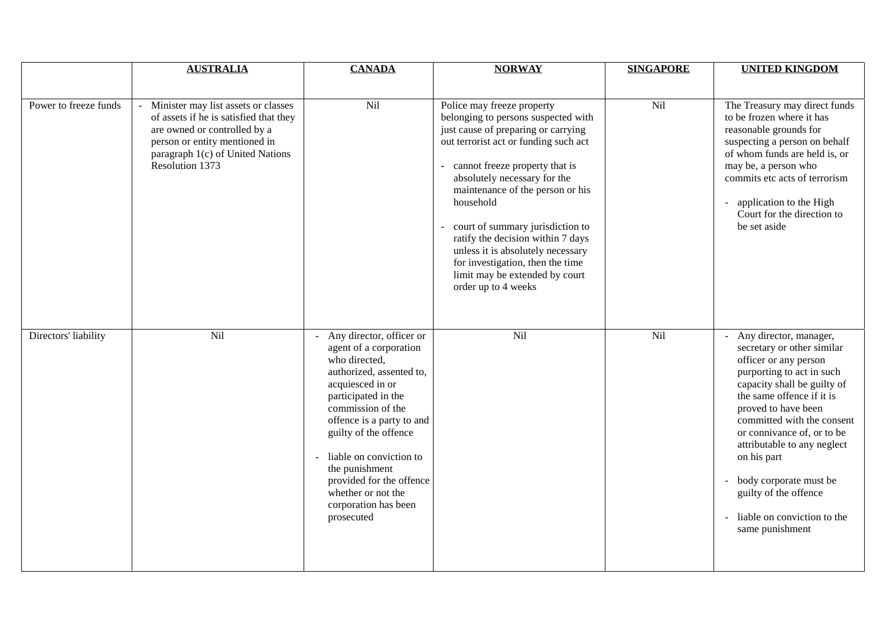|                       | <b>AUSTRALIA</b>                                                                                                                                                                                      | <b>CANADA</b>                                                                                                                                                                                                                                                                                                                                                  | <b>NORWAY</b>                                                                                                                                                                                                                                                                                                                                                                                                                                                                     | <b>SINGAPORE</b> | <b>UNITED KINGDOM</b>                                                                                                                                                                                                                                                                                                                                                                                          |
|-----------------------|-------------------------------------------------------------------------------------------------------------------------------------------------------------------------------------------------------|----------------------------------------------------------------------------------------------------------------------------------------------------------------------------------------------------------------------------------------------------------------------------------------------------------------------------------------------------------------|-----------------------------------------------------------------------------------------------------------------------------------------------------------------------------------------------------------------------------------------------------------------------------------------------------------------------------------------------------------------------------------------------------------------------------------------------------------------------------------|------------------|----------------------------------------------------------------------------------------------------------------------------------------------------------------------------------------------------------------------------------------------------------------------------------------------------------------------------------------------------------------------------------------------------------------|
| Power to freeze funds | Minister may list assets or classes<br>of assets if he is satisfied that they<br>are owned or controlled by a<br>person or entity mentioned in<br>paragraph 1(c) of United Nations<br>Resolution 1373 | Nil                                                                                                                                                                                                                                                                                                                                                            | Police may freeze property<br>belonging to persons suspected with<br>just cause of preparing or carrying<br>out terrorist act or funding such act<br>- cannot freeze property that is<br>absolutely necessary for the<br>maintenance of the person or his<br>household<br>court of summary jurisdiction to<br>ratify the decision within 7 days<br>unless it is absolutely necessary<br>for investigation, then the time<br>limit may be extended by court<br>order up to 4 weeks | Nil              | The Treasury may direct funds<br>to be frozen where it has<br>reasonable grounds for<br>suspecting a person on behalf<br>of whom funds are held is, or<br>may be, a person who<br>commits etc acts of terrorism<br>application to the High<br>$\sim$<br>Court for the direction to<br>be set aside                                                                                                             |
| Directors' liability  | Nil                                                                                                                                                                                                   | - Any director, officer or<br>agent of a corporation<br>who directed,<br>authorized, assented to,<br>acquiesced in or<br>participated in the<br>commission of the<br>offence is a party to and<br>guilty of the offence<br>- liable on conviction to<br>the punishment<br>provided for the offence<br>whether or not the<br>corporation has been<br>prosecuted | Nil                                                                                                                                                                                                                                                                                                                                                                                                                                                                               | Nil              | - Any director, manager,<br>secretary or other similar<br>officer or any person<br>purporting to act in such<br>capacity shall be guilty of<br>the same offence if it is<br>proved to have been<br>committed with the consent<br>or connivance of, or to be<br>attributable to any neglect<br>on his part<br>body corporate must be<br>guilty of the offence<br>liable on conviction to the<br>same punishment |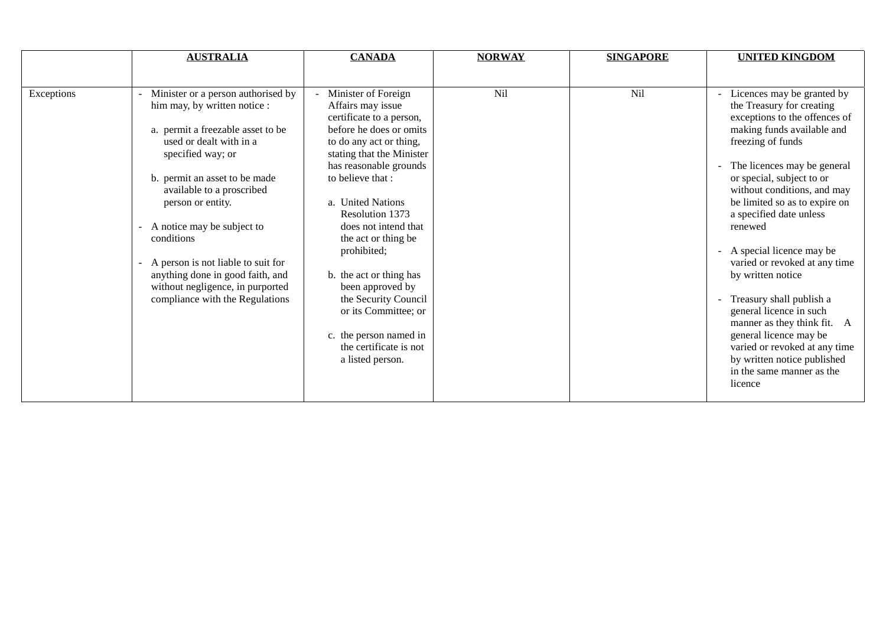|            | <b>AUSTRALIA</b>                                                                                                                                                                                                                                                                                                                                                                                                                        | <b>CANADA</b>                                                                                                                                                                                                                                                                                                                                                                                                                                                                       | <b>NORWAY</b> | <b>SINGAPORE</b> | <b>UNITED KINGDOM</b>                                                                                                                                                                                                                                                                                                                                                                                                                                                                                                                                                                                                     |
|------------|-----------------------------------------------------------------------------------------------------------------------------------------------------------------------------------------------------------------------------------------------------------------------------------------------------------------------------------------------------------------------------------------------------------------------------------------|-------------------------------------------------------------------------------------------------------------------------------------------------------------------------------------------------------------------------------------------------------------------------------------------------------------------------------------------------------------------------------------------------------------------------------------------------------------------------------------|---------------|------------------|---------------------------------------------------------------------------------------------------------------------------------------------------------------------------------------------------------------------------------------------------------------------------------------------------------------------------------------------------------------------------------------------------------------------------------------------------------------------------------------------------------------------------------------------------------------------------------------------------------------------------|
|            |                                                                                                                                                                                                                                                                                                                                                                                                                                         |                                                                                                                                                                                                                                                                                                                                                                                                                                                                                     |               |                  |                                                                                                                                                                                                                                                                                                                                                                                                                                                                                                                                                                                                                           |
| Exceptions | Minister or a person authorised by<br>him may, by written notice :<br>a. permit a freezable asset to be<br>used or dealt with in a<br>specified way; or<br>b. permit an asset to be made<br>available to a proscribed<br>person or entity.<br>A notice may be subject to<br>conditions<br>A person is not liable to suit for<br>anything done in good faith, and<br>without negligence, in purported<br>compliance with the Regulations | Minister of Foreign<br>Affairs may issue<br>certificate to a person,<br>before he does or omits<br>to do any act or thing,<br>stating that the Minister<br>has reasonable grounds<br>to believe that :<br>a. United Nations<br>Resolution 1373<br>does not intend that<br>the act or thing be<br>prohibited;<br>b. the act or thing has<br>been approved by<br>the Security Council<br>or its Committee; or<br>c. the person named in<br>the certificate is not<br>a listed person. | Nil           | Nil              | Licences may be granted by<br>the Treasury for creating<br>exceptions to the offences of<br>making funds available and<br>freezing of funds<br>The licences may be general<br>or special, subject to or<br>without conditions, and may<br>be limited so as to expire on<br>a specified date unless<br>renewed<br>- A special licence may be<br>varied or revoked at any time<br>by written notice<br>Treasury shall publish a<br>general licence in such<br>manner as they think fit. A<br>general licence may be<br>varied or revoked at any time<br>by written notice published<br>in the same manner as the<br>licence |